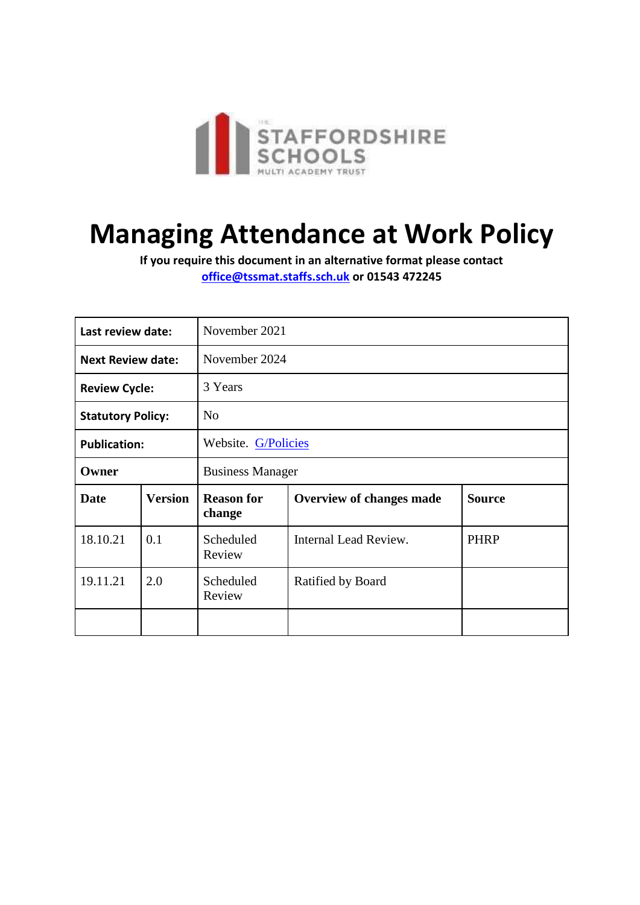

# **Managing Attendance at Work Policy**

**If you require this document in an alternative format please contact [office@tssmat.staffs.sch.uk](mailto:office@tssmat.staffs.sch.uk) or 01543 472245**

| Last review date:        |                | November 2021               |                                 |               |  |
|--------------------------|----------------|-----------------------------|---------------------------------|---------------|--|
| <b>Next Review date:</b> |                | November 2024               |                                 |               |  |
| <b>Review Cycle:</b>     |                | 3 Years                     |                                 |               |  |
| <b>Statutory Policy:</b> |                | N <sub>o</sub>              |                                 |               |  |
| <b>Publication:</b>      |                | Website. G/Policies         |                                 |               |  |
| Owner                    |                | <b>Business Manager</b>     |                                 |               |  |
| <b>Date</b>              | <b>Version</b> | <b>Reason for</b><br>change | <b>Overview of changes made</b> | <b>Source</b> |  |
| 18.10.21                 | 0.1            | Scheduled<br>Review         | Internal Lead Review.           | <b>PHRP</b>   |  |
| 19.11.21                 | 2.0            | Scheduled<br>Review         | Ratified by Board               |               |  |
|                          |                |                             |                                 |               |  |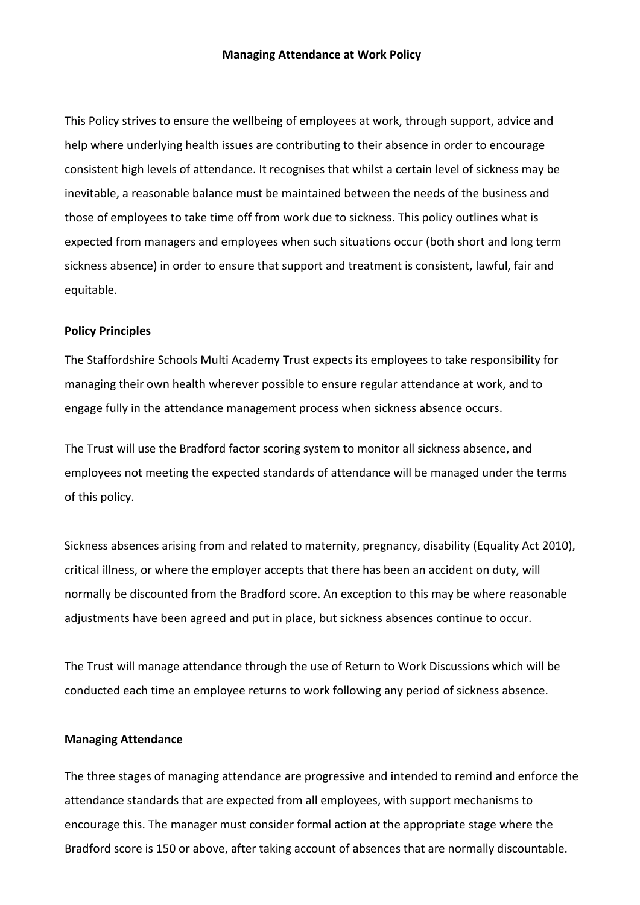This Policy strives to ensure the wellbeing of employees at work, through support, advice and help where underlying health issues are contributing to their absence in order to encourage consistent high levels of attendance. It recognises that whilst a certain level of sickness may be inevitable, a reasonable balance must be maintained between the needs of the business and those of employees to take time off from work due to sickness. This policy outlines what is expected from managers and employees when such situations occur (both short and long term sickness absence) in order to ensure that support and treatment is consistent, lawful, fair and equitable.

#### **Policy Principles**

The Staffordshire Schools Multi Academy Trust expects its employees to take responsibility for managing their own health wherever possible to ensure regular attendance at work, and to engage fully in the attendance management process when sickness absence occurs.

The Trust will use the Bradford factor scoring system to monitor all sickness absence, and employees not meeting the expected standards of attendance will be managed under the terms of this policy.

Sickness absences arising from and related to maternity, pregnancy, disability (Equality Act 2010), critical illness, or where the employer accepts that there has been an accident on duty, will normally be discounted from the Bradford score. An exception to this may be where reasonable adjustments have been agreed and put in place, but sickness absences continue to occur.

The Trust will manage attendance through the use of Return to Work Discussions which will be conducted each time an employee returns to work following any period of sickness absence.

#### **Managing Attendance**

The three stages of managing attendance are progressive and intended to remind and enforce the attendance standards that are expected from all employees, with support mechanisms to encourage this. The manager must consider formal action at the appropriate stage where the Bradford score is 150 or above, after taking account of absences that are normally discountable.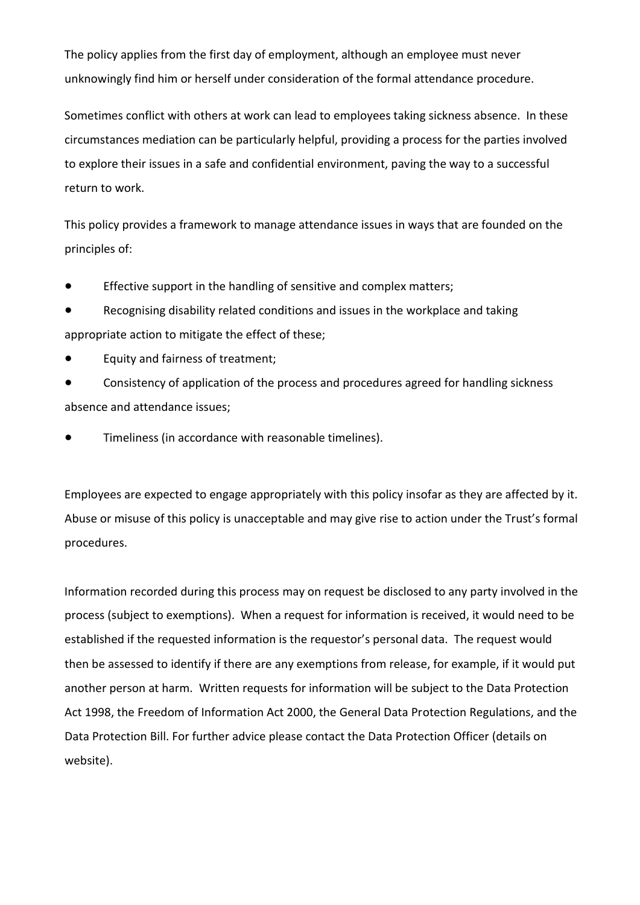The policy applies from the first day of employment, although an employee must never unknowingly find him or herself under consideration of the formal attendance procedure.

Sometimes conflict with others at work can lead to employees taking sickness absence. In these circumstances mediation can be particularly helpful, providing a process for the parties involved to explore their issues in a safe and confidential environment, paving the way to a successful return to work.

This policy provides a framework to manage attendance issues in ways that are founded on the principles of:

- Effective support in the handling of sensitive and complex matters;
- Recognising disability related conditions and issues in the workplace and taking appropriate action to mitigate the effect of these;
- Equity and fairness of treatment;
- Consistency of application of the process and procedures agreed for handling sickness absence and attendance issues;
- Timeliness (in accordance with reasonable timelines).

Employees are expected to engage appropriately with this policy insofar as they are affected by it. Abuse or misuse of this policy is unacceptable and may give rise to action under the Trust's formal procedures.

Information recorded during this process may on request be disclosed to any party involved in the process (subject to exemptions). When a request for information is received, it would need to be established if the requested information is the requestor's personal data. The request would then be assessed to identify if there are any exemptions from release, for example, if it would put another person at harm. Written requests for information will be subject to the Data Protection Act 1998, the Freedom of Information Act 2000, the General Data Protection Regulations, and the Data Protection Bill. For further advice please contact the Data Protection Officer (details on website).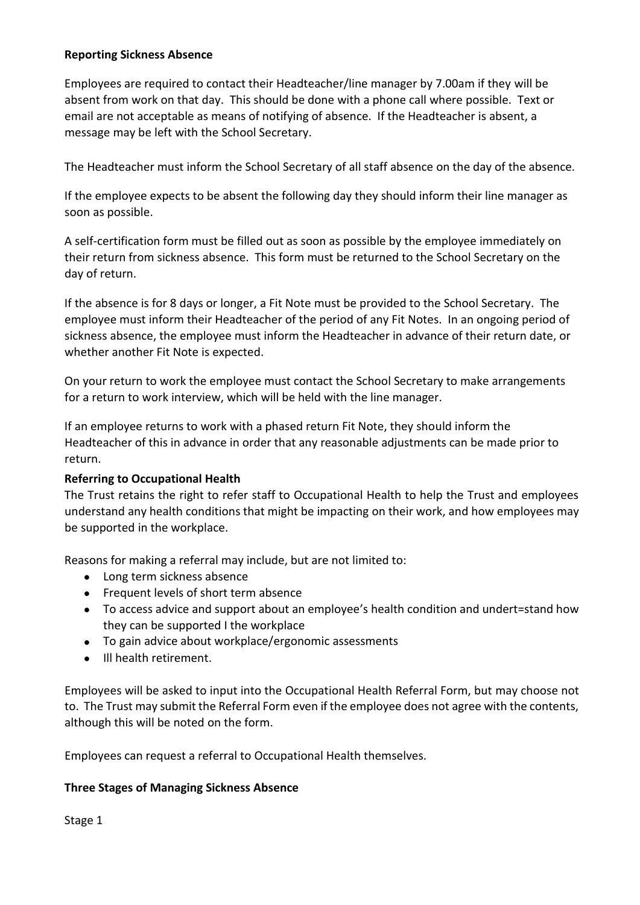## **Reporting Sickness Absence**

Employees are required to contact their Headteacher/line manager by 7.00am if they will be absent from work on that day. This should be done with a phone call where possible. Text or email are not acceptable as means of notifying of absence. If the Headteacher is absent, a message may be left with the School Secretary.

The Headteacher must inform the School Secretary of all staff absence on the day of the absence.

If the employee expects to be absent the following day they should inform their line manager as soon as possible.

A self-certification form must be filled out as soon as possible by the employee immediately on their return from sickness absence. This form must be returned to the School Secretary on the day of return.

If the absence is for 8 days or longer, a Fit Note must be provided to the School Secretary. The employee must inform their Headteacher of the period of any Fit Notes. In an ongoing period of sickness absence, the employee must inform the Headteacher in advance of their return date, or whether another Fit Note is expected.

On your return to work the employee must contact the School Secretary to make arrangements for a return to work interview, which will be held with the line manager.

If an employee returns to work with a phased return Fit Note, they should inform the Headteacher of this in advance in order that any reasonable adjustments can be made prior to return.

### **Referring to Occupational Health**

The Trust retains the right to refer staff to Occupational Health to help the Trust and employees understand any health conditions that might be impacting on their work, and how employees may be supported in the workplace.

Reasons for making a referral may include, but are not limited to:

- Long term sickness absence
- Frequent levels of short term absence
- To access advice and support about an employee's health condition and undert=stand how they can be supported I the workplace
- To gain advice about workplace/ergonomic assessments
- Ill health retirement.

Employees will be asked to input into the Occupational Health Referral Form, but may choose not to. The Trust may submit the Referral Form even if the employee does not agree with the contents, although this will be noted on the form.

Employees can request a referral to Occupational Health themselves.

### **Three Stages of Managing Sickness Absence**

Stage 1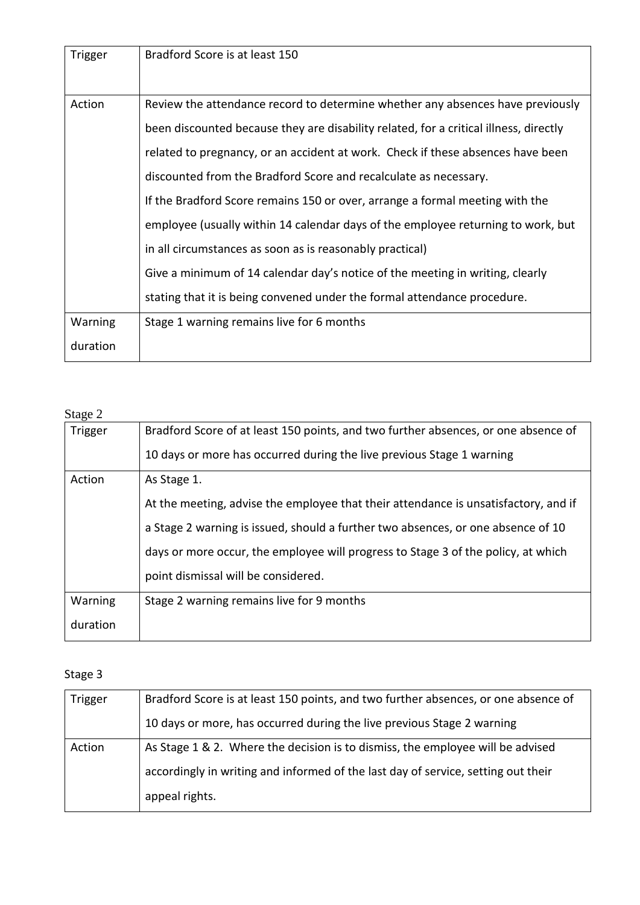| Trigger  | Bradford Score is at least 150                                                        |
|----------|---------------------------------------------------------------------------------------|
| Action   | Review the attendance record to determine whether any absences have previously        |
|          | been discounted because they are disability related, for a critical illness, directly |
|          | related to pregnancy, or an accident at work. Check if these absences have been       |
|          | discounted from the Bradford Score and recalculate as necessary.                      |
|          | If the Bradford Score remains 150 or over, arrange a formal meeting with the          |
|          | employee (usually within 14 calendar days of the employee returning to work, but      |
|          | in all circumstances as soon as is reasonably practical)                              |
|          | Give a minimum of 14 calendar day's notice of the meeting in writing, clearly         |
|          | stating that it is being convened under the formal attendance procedure.              |
| Warning  | Stage 1 warning remains live for 6 months                                             |
| duration |                                                                                       |

Stage 2

| $\sim$ $\sim$ $\sim$ $\sim$ |                                                                                     |
|-----------------------------|-------------------------------------------------------------------------------------|
| Trigger                     | Bradford Score of at least 150 points, and two further absences, or one absence of  |
|                             | 10 days or more has occurred during the live previous Stage 1 warning               |
| Action                      | As Stage 1.                                                                         |
|                             | At the meeting, advise the employee that their attendance is unsatisfactory, and if |
|                             | a Stage 2 warning is issued, should a further two absences, or one absence of 10    |
|                             | days or more occur, the employee will progress to Stage 3 of the policy, at which   |
|                             | point dismissal will be considered.                                                 |
| Warning                     | Stage 2 warning remains live for 9 months                                           |
| duration                    |                                                                                     |

## Stage 3

| Trigger | Bradford Score is at least 150 points, and two further absences, or one absence of |
|---------|------------------------------------------------------------------------------------|
|         | 10 days or more, has occurred during the live previous Stage 2 warning             |
| Action  | As Stage 1 & 2. Where the decision is to dismiss, the employee will be advised     |
|         | accordingly in writing and informed of the last day of service, setting out their  |
|         | appeal rights.                                                                     |